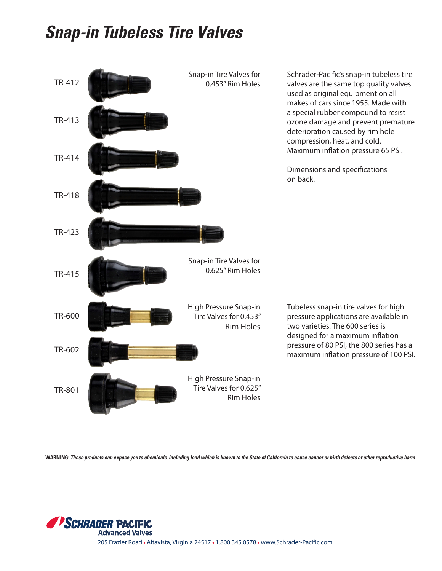## **Snap-in Tubeless Tire Valves**



**WARNING: These products can expose you to chemicals, including lead which is known to the State of California to cause cancer or birth defects or other reproductive harm.**